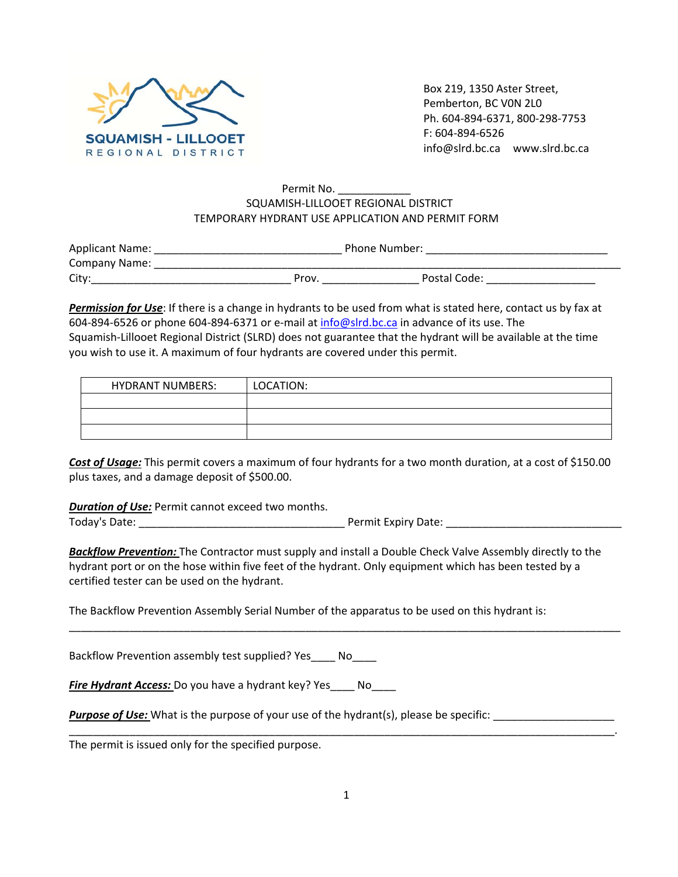

Box 219, 1350 Aster Street, Pemberton, BC V0N 2L0 Ph. 604‐894‐6371, 800‐298‐7753 F: 604‐894‐6526 info@slrd.bc.ca www.slrd.bc.ca

## Permit No. \_\_\_\_\_\_\_\_\_ SQUAMISH‐LILLOOET REGIONAL DISTRICT TEMPORARY HYDRANT USE APPLICATION AND PERMIT FORM

| <b>Applicant Name:</b> |      | Phone Number: |
|------------------------|------|---------------|
| Company Name:          |      |               |
| City                   | Prov | Postal Code:  |

*Permission for Use*: If there is a change in hydrants to be used from what is stated here, contact us by fax at 604‐894‐6526 or phone 604‐894‐6371 or e‐mail at info@slrd.bc.ca in advance of its use. The Squamish‐Lillooet Regional District (SLRD) does not guarantee that the hydrant will be available at the time you wish to use it. A maximum of four hydrants are covered under this permit.

| <b>HYDRANT NUMBERS:</b> | LOCATION: |
|-------------------------|-----------|
|                         |           |
|                         |           |
|                         |           |

*Cost of Usage:* This permit covers a maximum of four hydrants for a two month duration, at a cost of \$150.00 plus taxes, and a damage deposit of \$500.00.

*Duration of Use:* Permit cannot exceed two months. Today's Date: \_\_\_\_\_\_\_\_\_\_\_\_\_\_\_\_\_\_\_\_\_\_\_\_\_\_\_\_\_\_\_\_\_\_ Permit Expiry Date: \_\_\_\_\_\_\_\_\_\_\_\_\_\_\_\_\_\_\_\_\_\_\_\_\_\_\_\_\_

*Backflow Prevention:* The Contractor must supply and install a Double Check Valve Assembly directly to the hydrant port or on the hose within five feet of the hydrant. Only equipment which has been tested by a certified tester can be used on the hydrant.

\_\_\_\_\_\_\_\_\_\_\_\_\_\_\_\_\_\_\_\_\_\_\_\_\_\_\_\_\_\_\_\_\_\_\_\_\_\_\_\_\_\_\_\_\_\_\_\_\_\_\_\_\_\_\_\_\_\_\_\_\_\_\_\_\_\_\_\_\_\_\_\_\_\_\_\_\_\_\_\_\_\_\_\_\_\_\_\_\_\_\_

The Backflow Prevention Assembly Serial Number of the apparatus to be used on this hydrant is:

Backflow Prevention assembly test supplied? Yes\_\_\_\_ No\_\_\_\_

**Fire Hydrant Access:** Do you have a hydrant key? Yes No

*Purpose of Use:* What is the purpose of your use of the hydrant(s), please be specific:

The permit is issued only for the specified purpose.

\_\_\_\_\_\_\_\_\_\_\_\_\_\_\_\_\_\_\_\_\_\_\_\_\_\_\_\_\_\_\_\_\_\_\_\_\_\_\_\_\_\_\_\_\_\_\_\_\_\_\_\_\_\_\_\_\_\_\_\_\_\_\_\_\_\_\_\_\_\_\_\_\_\_\_\_\_\_\_\_\_\_\_\_\_\_\_\_\_\_.